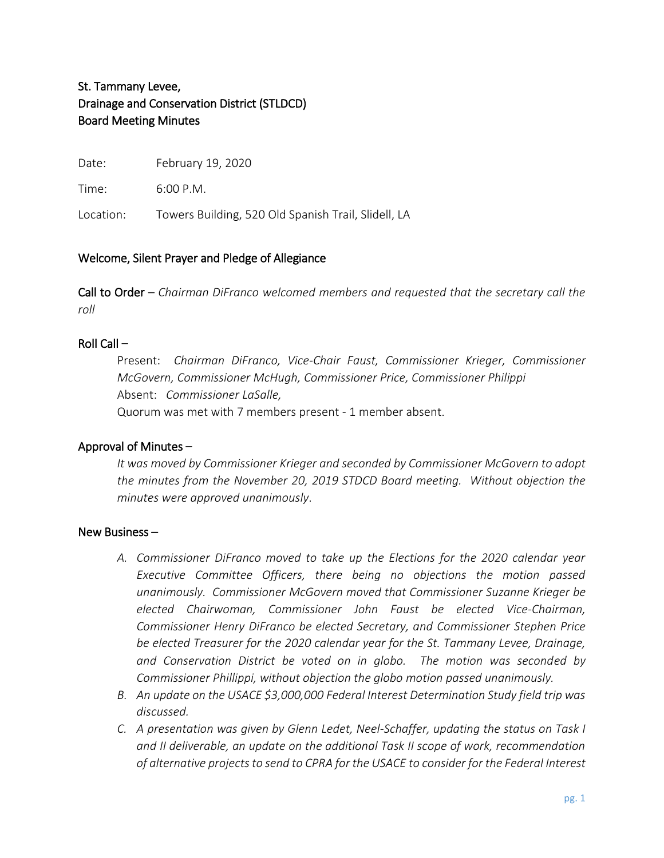# St. Tammany Levee, Drainage and Conservation District (STLDCD) Board Meeting Minutes

Date: February 19, 2020

Time: 6:00 P.M.

Location: Towers Building, 520 Old Spanish Trail, Slidell, LA

# Welcome, Silent Prayer and Pledge of Allegiance

Call to Order – *Chairman DiFranco welcomed members and requested that the secretary call the roll*

## Roll Call –

Present: *Chairman DiFranco, Vice-Chair Faust, Commissioner Krieger, Commissioner McGovern, Commissioner McHugh, Commissioner Price, Commissioner Philippi* Absent: *Commissioner LaSalle,*  Quorum was met with 7 members present - 1 member absent.

#### Approval of Minutes –

*It was moved by Commissioner Krieger and seconded by Commissioner McGovern to adopt the minutes from the November 20, 2019 STDCD Board meeting. Without objection the minutes were approved unanimously*.

#### New Business –

- *A. Commissioner DiFranco moved to take up the Elections for the 2020 calendar year Executive Committee Officers, there being no objections the motion passed unanimously. Commissioner McGovern moved that Commissioner Suzanne Krieger be elected Chairwoman, Commissioner John Faust be elected Vice-Chairman, Commissioner Henry DiFranco be elected Secretary, and Commissioner Stephen Price be elected Treasurer for the 2020 calendar year for the St. Tammany Levee, Drainage, and Conservation District be voted on in globo. The motion was seconded by Commissioner Phillippi, without objection the globo motion passed unanimously.*
- *B. An update on the USACE \$3,000,000 Federal Interest Determination Study field trip was discussed.*
- *C. A presentation was given by Glenn Ledet, Neel-Schaffer, updating the status on Task I and II deliverable, an update on the additional Task II scope of work, recommendation of alternative projects to send to CPRA for the USACE to consider for the Federal Interest*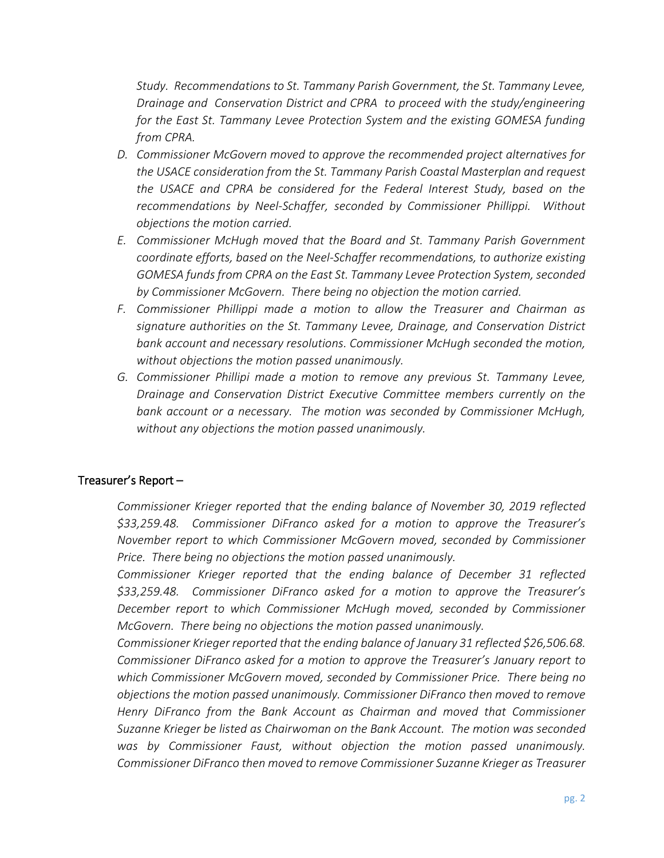*Study. Recommendations to St. Tammany Parish Government, the St. Tammany Levee, Drainage and Conservation District and CPRA to proceed with the study/engineering for the East St. Tammany Levee Protection System and the existing GOMESA funding from CPRA.*

- *D. Commissioner McGovern moved to approve the recommended project alternatives for the USACE consideration from the St. Tammany Parish Coastal Masterplan and request the USACE and CPRA be considered for the Federal Interest Study, based on the recommendations by Neel-Schaffer, seconded by Commissioner Phillippi. Without objections the motion carried.*
- *E. Commissioner McHugh moved that the Board and St. Tammany Parish Government coordinate efforts, based on the Neel-Schaffer recommendations, to authorize existing GOMESA funds from CPRA on the East St. Tammany Levee Protection System, seconded by Commissioner McGovern. There being no objection the motion carried.*
- *F. Commissioner Phillippi made a motion to allow the Treasurer and Chairman as signature authorities on the St. Tammany Levee, Drainage, and Conservation District bank account and necessary resolutions. Commissioner McHugh seconded the motion, without objections the motion passed unanimously.*
- *G. Commissioner Phillipi made a motion to remove any previous St. Tammany Levee, Drainage and Conservation District Executive Committee members currently on the bank account or a necessary. The motion was seconded by Commissioner McHugh, without any objections the motion passed unanimously.*

# Treasurer's Report –

*Commissioner Krieger reported that the ending balance of November 30, 2019 reflected \$33,259.48. Commissioner DiFranco asked for a motion to approve the Treasurer's November report to which Commissioner McGovern moved, seconded by Commissioner Price. There being no objections the motion passed unanimously.* 

*Commissioner Krieger reported that the ending balance of December 31 reflected \$33,259.48. Commissioner DiFranco asked for a motion to approve the Treasurer's December report to which Commissioner McHugh moved, seconded by Commissioner McGovern. There being no objections the motion passed unanimously.* 

*Commissioner Krieger reported that the ending balance of January 31 reflected \$26,506.68. Commissioner DiFranco asked for a motion to approve the Treasurer's January report to which Commissioner McGovern moved, seconded by Commissioner Price. There being no objections the motion passed unanimously. Commissioner DiFranco then moved to remove Henry DiFranco from the Bank Account as Chairman and moved that Commissioner Suzanne Krieger be listed as Chairwoman on the Bank Account. The motion was seconded was by Commissioner Faust, without objection the motion passed unanimously. Commissioner DiFranco then moved to remove Commissioner Suzanne Krieger as Treasurer*